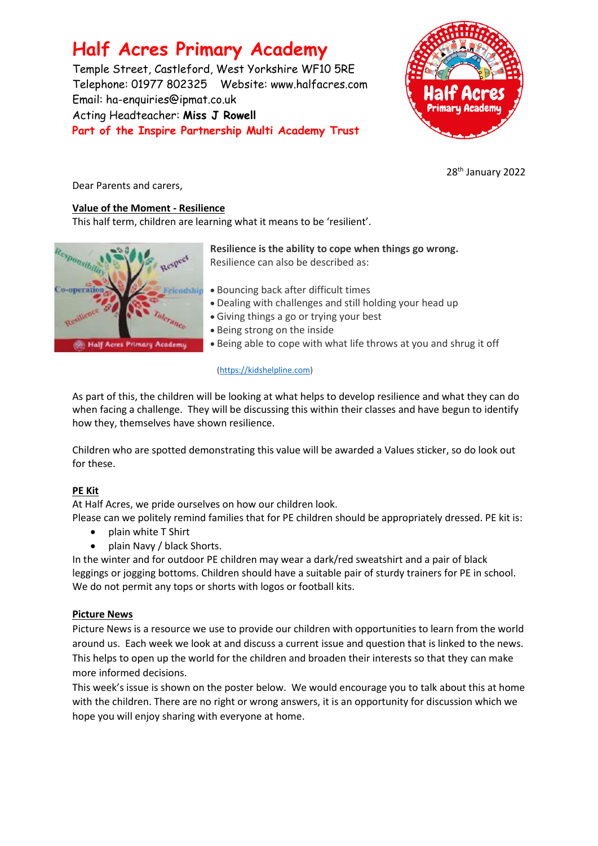# **Half Acres Primary Academy**

Temple Street, Castleford, West Yorkshire WF10 5RE Telephone: 01977 802325 Website: [www.halfacres.com](http://www.halfacres.com/) Email: ha-enquiries@ipmat.co.uk Acting Headteacher: **Miss J Rowell Part of the Inspire Partnership Multi Academy Trust**



28 th January 2022

Dear Parents and carers,

# **Value of the Moment - Resilience**

This half term, children are learning what it means to be 'resilient'.



**Resilience is the ability to cope when things go wrong.** Resilience can also be described as:

- Bouncing back after difficult times
- Dealing with challenges and still holding your head up
- Giving things a go or trying your best
- Being strong on the inside
- Being able to cope with what life throws at you and shrug it off

#### [\(https://kidshelpline.com\)](https://kidshelpline.com/)

As part of this, the children will be looking at what helps to develop resilience and what they can do when facing a challenge. They will be discussing this within their classes and have begun to identify how they, themselves have shown resilience.

Children who are spotted demonstrating this value will be awarded a Values sticker, so do look out for these.

# **PE Kit**

At Half Acres, we pride ourselves on how our children look.

Please can we politely remind families that for PE children should be appropriately dressed. PE kit is:

- plain white T Shirt
- plain Navy / black Shorts.

In the winter and for outdoor PE children may wear a dark/red sweatshirt and a pair of black leggings or jogging bottoms. Children should have a suitable pair of sturdy trainers for PE in school. We do not permit any tops or shorts with logos or football kits.

# **Picture News**

Picture News is a resource we use to provide our children with opportunities to learn from the world around us. Each week we look at and discuss a current issue and question that is linked to the news. This helps to open up the world for the children and broaden their interests so that they can make more informed decisions.

This week's issue is shown on the poster below. We would encourage you to talk about this at home with the children. There are no right or wrong answers, it is an opportunity for discussion which we hope you will enjoy sharing with everyone at home.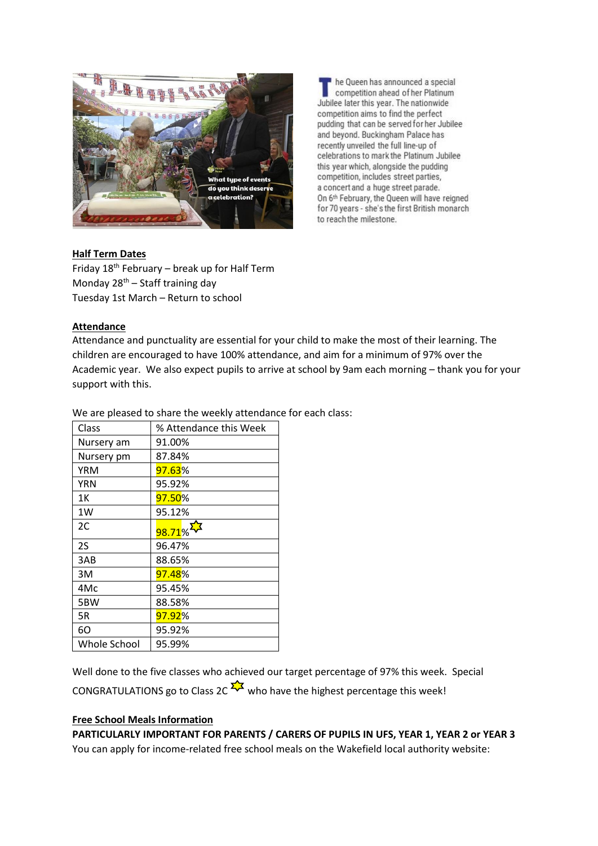

he Queen has announced a special competition ahead of her Platinum Jubilee later this year. The nationwide competition aims to find the perfect pudding that can be served for her Jubilee and beyond. Buckingham Palace has recently unveiled the full line-up of celebrations to mark the Platinum Jubilee this year which, alongside the pudding competition, includes street parties, a concert and a huge street parade. On 6th February, the Queen will have reigned for 70 years - she's the first British monarch to reach the milestone.

# **Half Term Dates**

Friday  $18^{th}$  February – break up for Half Term Monday 28<sup>th</sup> – Staff training day Tuesday 1st March – Return to school

# **Attendance**

Attendance and punctuality are essential for your child to make the most of their learning. The children are encouraged to have 100% attendance, and aim for a minimum of 97% over the Academic year. We also expect pupils to arrive at school by 9am each morning – thank you for your support with this.

| Class        | % Attendance this Week |
|--------------|------------------------|
| Nursery am   | 91.00%                 |
| Nursery pm   | 87.84%                 |
| YRM          | <b>97.63%</b>          |
| <b>YRN</b>   | 95.92%                 |
| 1K           | <b>97.50%</b>          |
| 1W           | 95.12%                 |
| 2C           | 98.71%                 |
| 2S           | 96.47%                 |
| 3AB          | 88.65%                 |
| 3M           | 97.48%                 |
| 4Mc          | 95.45%                 |
| 5BW          | 88.58%                 |
| 5R           | 97.92%                 |
| 60           | 95.92%                 |
| Whole School | 95.99%                 |

We are pleased to share the weekly attendance for each class:

Well done to the five classes who achieved our target percentage of 97% this week. Special CONGRATULATIONS go to Class 2C  $\frac{2}{\sqrt{2}}$  who have the highest percentage this week!

# **Free School Meals Information**

**PARTICULARLY IMPORTANT FOR PARENTS / CARERS OF PUPILS IN UFS, YEAR 1, YEAR 2 or YEAR 3** 

You can apply for income-related free school meals on the Wakefield local authority website: